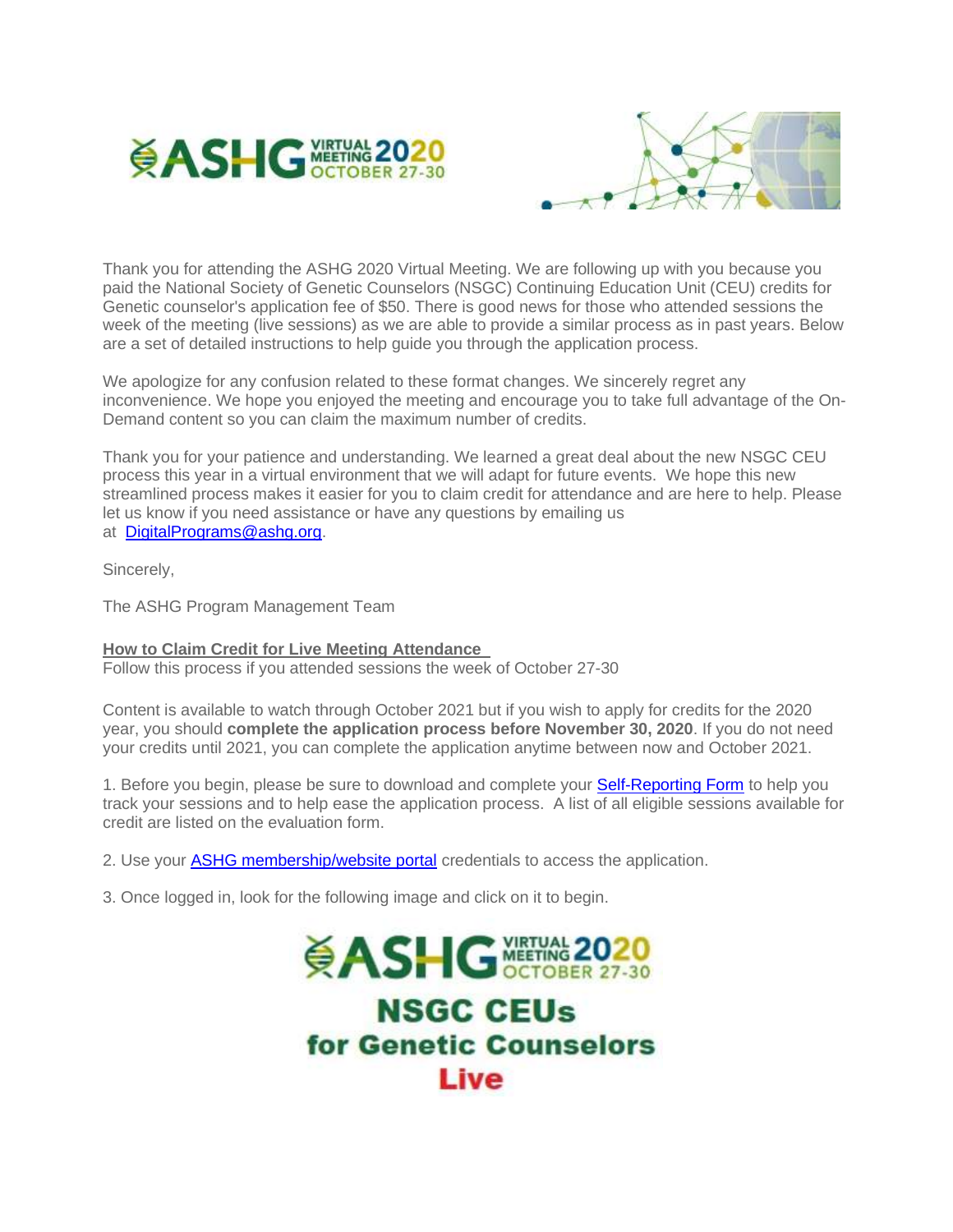



Thank you for attending the ASHG 2020 Virtual Meeting. We are following up with you because you paid the National Society of Genetic Counselors (NSGC) Continuing Education Unit (CEU) credits for Genetic counselor's application fee of \$50. There is good news for those who attended sessions the week of the meeting (live sessions) as we are able to provide a similar process as in past years. Below are a set of detailed instructions to help guide you through the application process.

We apologize for any confusion related to these format changes. We sincerely regret any inconvenience. We hope you enjoyed the meeting and encourage you to take full advantage of the On-Demand content so you can claim the maximum number of credits.

Thank you for your patience and understanding. We learned a great deal about the new NSGC CEU process this year in a virtual environment that we will adapt for future events. We hope this new streamlined process makes it easier for you to claim credit for attendance and are here to help. Please let us know if you need assistance or have any questions by emailing us at [DigitalPrograms@ashg.org.](mailto:DigitalPrograms@ashg.org)

Sincerely,

The ASHG Program Management Team

## **How to Claim Credit for Live Meeting Attendance**

Follow this process if you attended sessions the week of October 27-30

Content is available to watch through October 2021 but if you wish to apply for credits for the 2020 year, you should **complete the application process before November 30, 2020**. If you do not need your credits until 2021, you can complete the application anytime between now and October 2021.

1. Before you begin, please be sure to download and complete your **Self-Reporting Form** to help you track your sessions and to help ease the application process. A list of all eligible sessions available for credit are listed on the evaluation form.

2. Use your [ASHG membership/website portal](http://send.ashg.org/link.cfm?r=BUYnWuc18ECOKPy5iwRqKw~~&pe=0KEVXnQxtOK-W3hus3IX2fh82YMAf8-O0Rhs4qzlnSAdkL6eEJCRUgSaoFd3Qo7THqEyjzKDvtXvN6t8RXEFfQ~~&t=P9CkNHqZkACFmK7-a7z-Xg~~) credentials to access the application.

3. Once logged in, look for the following image and click on it to begin.

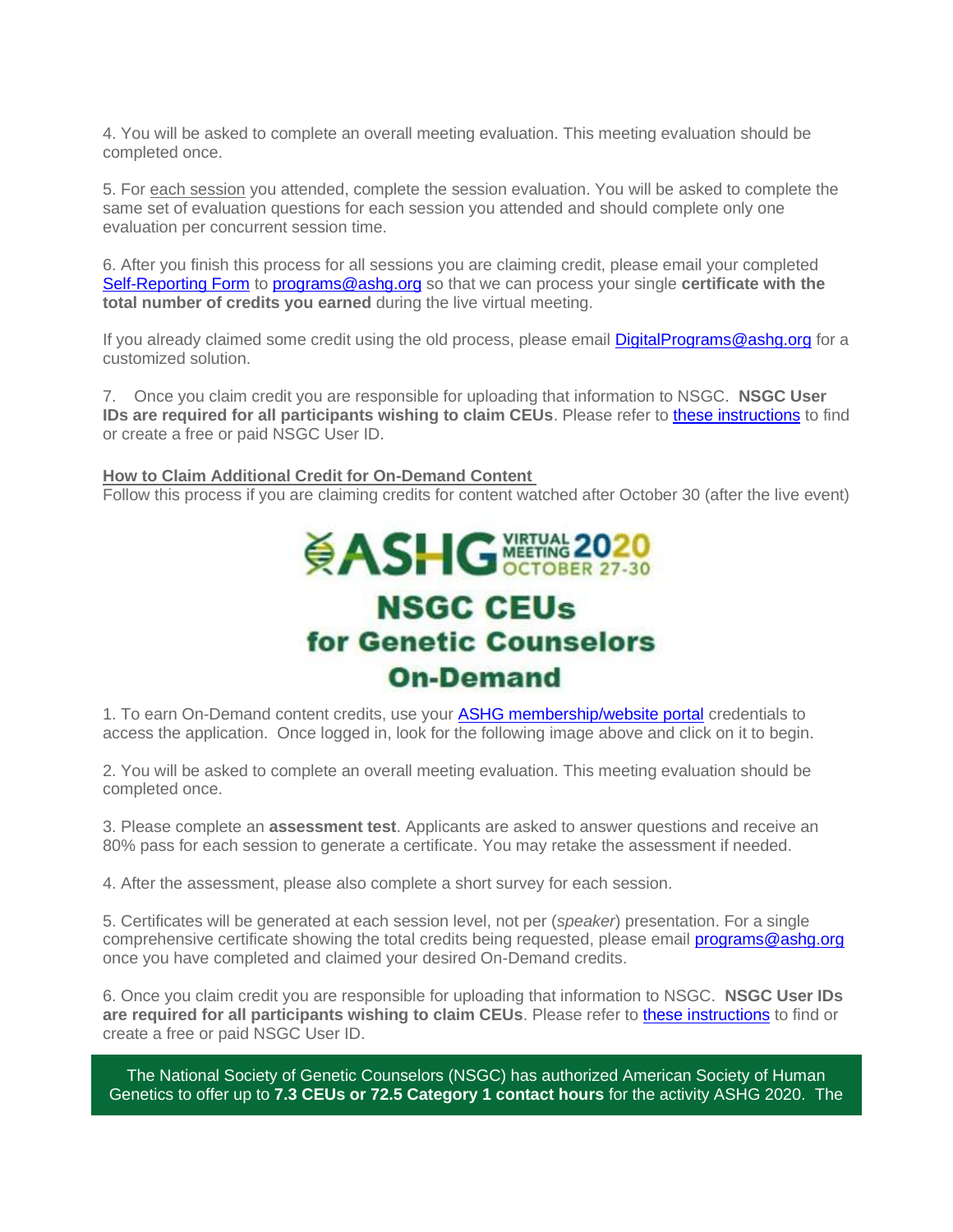4. You will be asked to complete an overall meeting evaluation. This meeting evaluation should be completed once.

5. For each session you attended, complete the session evaluation. You will be asked to complete the same set of evaluation questions for each session you attended and should complete only one evaluation per concurrent session time.

6. After you finish this process for all sessions you are claiming credit, please email your completed [Self-Reporting Form](http://send.ashg.org/link.cfm?r=BUYnWuc18ECOKPy5iwRqKw~~&pe=vSAFElt0y9OkK_2LD-vjmMoKZvKCHSE0PojUjoRxkKW5jH-kaQWgc45JG6cd1Cab-hraqqcTylfQaMDr2WzjyQ~~&t=P9CkNHqZkACFmK7-a7z-Xg~~) to [programs@ashg.org](mailto:programs@ashg.org) so that we can process your single **certificate with the total number of credits you earned** during the live virtual meeting.

If you already claimed some credit using the old process, please email [DigitalPrograms@ashg.org](mailto:DigitalPrograms@ashg.org) for a customized solution.

7. Once you claim credit you are responsible for uploading that information to NSGC. **NSGC User IDs are required for all participants wishing to claim CEUs**. Please refer to [these instructions](http://send.ashg.org/link.cfm?r=BUYnWuc18ECOKPy5iwRqKw~~&pe=HoqUAlC27t1OJM30f5aAlAhvh1Tu_ilOv06rWfEYr2BIBgCnMFeKn1fZzXR5BfrWjndDO6iQaDph2CVCKI8twQ~~&t=P9CkNHqZkACFmK7-a7z-Xg~~) to find or create a free or paid NSGC User ID.

## **How to Claim Additional Credit for On-Demand Content**

Follow this process if you are claiming credits for content watched after October 30 (after the live event)

## **ČASHG** WETWAR 2020 **NSGC CEUs** for Genetic Counselors **On-Demand**

1. To earn On-Demand content credits, use your [ASHG membership/website portal](http://send.ashg.org/link.cfm?r=BUYnWuc18ECOKPy5iwRqKw~~&pe=UlRdBbqwLlJ9Va1FVchMooWbQsWmD8IgU4yWCcSeFRKNN-Sz53Y7G1KxgdGJO-keGE_H3yZitoAZwyDjWm1mag~~&t=P9CkNHqZkACFmK7-a7z-Xg~~) credentials to access the application. Once logged in, look for the following image above and click on it to begin.

2. You will be asked to complete an overall meeting evaluation. This meeting evaluation should be completed once.

3. Please complete an **assessment test**. Applicants are asked to answer questions and receive an 80% pass for each session to generate a certificate. You may retake the assessment if needed.

4. After the assessment, please also complete a short survey for each session.

5. Certificates will be generated at each session level, not per (*speaker*) presentation. For a single comprehensive certificate showing the total credits being requested, please email **programs@ashg.org** once you have completed and claimed your desired On-Demand credits.

6. Once you claim credit you are responsible for uploading that information to NSGC. **NSGC User IDs are required for all participants wishing to claim CEUs**. Please refer to [these instructions](http://send.ashg.org/link.cfm?r=BUYnWuc18ECOKPy5iwRqKw~~&pe=5HC91ufnyMtLydB5CeqAOcQAY9K52cXLUx3A-CQW0oMAhEmCGFyO6R6DVVo4qYcw44OVSjrlv-r4EYXeZlaosg~~&t=P9CkNHqZkACFmK7-a7z-Xg~~) to find or create a free or paid NSGC User ID.

The National Society of Genetic Counselors (NSGC) has authorized American Society of Human Genetics to offer up to **7.3 CEUs or 72.5 Category 1 contact hours** for the activity ASHG 2020. The